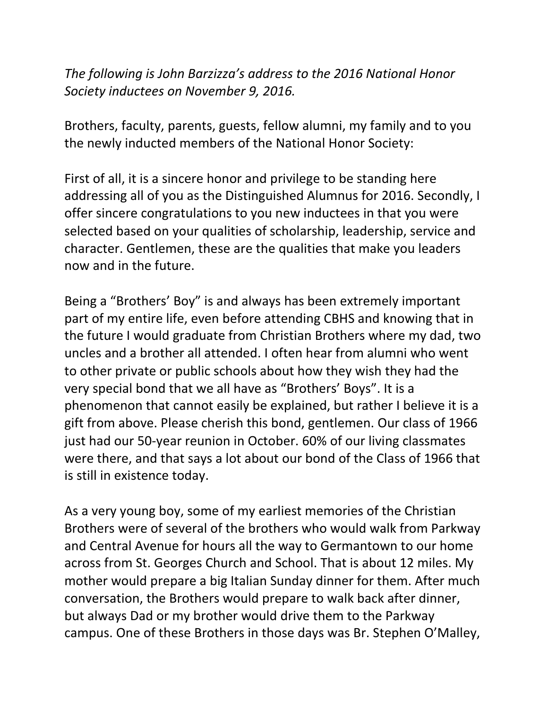*The following is John Barzizza's address to the 2016 National Honor Society inductees on November 9, 2016.* 

Brothers, faculty, parents, guests, fellow alumni, my family and to you the newly inducted members of the National Honor Society:

First of all, it is a sincere honor and privilege to be standing here addressing all of you as the Distinguished Alumnus for 2016. Secondly, I offer sincere congratulations to you new inductees in that you were selected based on your qualities of scholarship, leadership, service and character. Gentlemen, these are the qualities that make you leaders now and in the future.

Being a "Brothers' Boy" is and always has been extremely important part of my entire life, even before attending CBHS and knowing that in the future I would graduate from Christian Brothers where my dad, two uncles and a brother all attended. I often hear from alumni who went to other private or public schools about how they wish they had the very special bond that we all have as "Brothers' Boys". It is a phenomenon that cannot easily be explained, but rather I believe it is a gift from above. Please cherish this bond, gentlemen. Our class of 1966 just had our 50-year reunion in October. 60% of our living classmates were there, and that says a lot about our bond of the Class of 1966 that is still in existence today.

As a very young boy, some of my earliest memories of the Christian Brothers were of several of the brothers who would walk from Parkway and Central Avenue for hours all the way to Germantown to our home across from St. Georges Church and School. That is about 12 miles. My mother would prepare a big Italian Sunday dinner for them. After much conversation, the Brothers would prepare to walk back after dinner, but always Dad or my brother would drive them to the Parkway campus. One of these Brothers in those days was Br. Stephen O'Malley,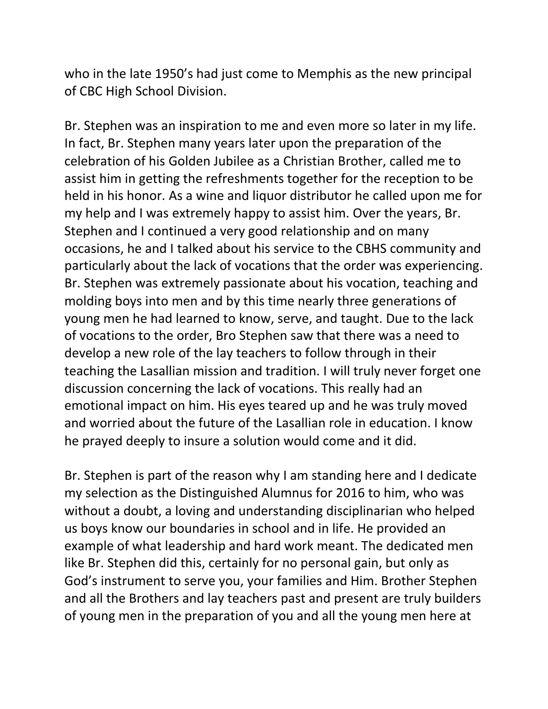who in the late 1950's had just come to Memphis as the new principal of CBC High School Division.

Br. Stephen was an inspiration to me and even more so later in my life. In fact, Br. Stephen many years later upon the preparation of the celebration of his Golden Jubilee as a Christian Brother, called me to assist him in getting the refreshments together for the reception to be held in his honor. As a wine and liquor distributor he called upon me for my help and I was extremely happy to assist him. Over the years, Br. Stephen and I continued a very good relationship and on many occasions, he and I talked about his service to the CBHS community and particularly about the lack of vocations that the order was experiencing. Br. Stephen was extremely passionate about his vocation, teaching and molding boys into men and by this time nearly three generations of young men he had learned to know, serve, and taught. Due to the lack of vocations to the order, Bro Stephen saw that there was a need to develop a new role of the lay teachers to follow through in their teaching the Lasallian mission and tradition. I will truly never forget one discussion concerning the lack of vocations. This really had an emotional impact on him. His eyes teared up and he was truly moved and worried about the future of the Lasallian role in education. I know he prayed deeply to insure a solution would come and it did.

Br. Stephen is part of the reason why I am standing here and I dedicate my selection as the Distinguished Alumnus for 2016 to him, who was without a doubt, a loving and understanding disciplinarian who helped us boys know our boundaries in school and in life. He provided an example of what leadership and hard work meant. The dedicated men like Br. Stephen did this, certainly for no personal gain, but only as God's instrument to serve you, your families and Him. Brother Stephen and all the Brothers and lay teachers past and present are truly builders of young men in the preparation of you and all the young men here at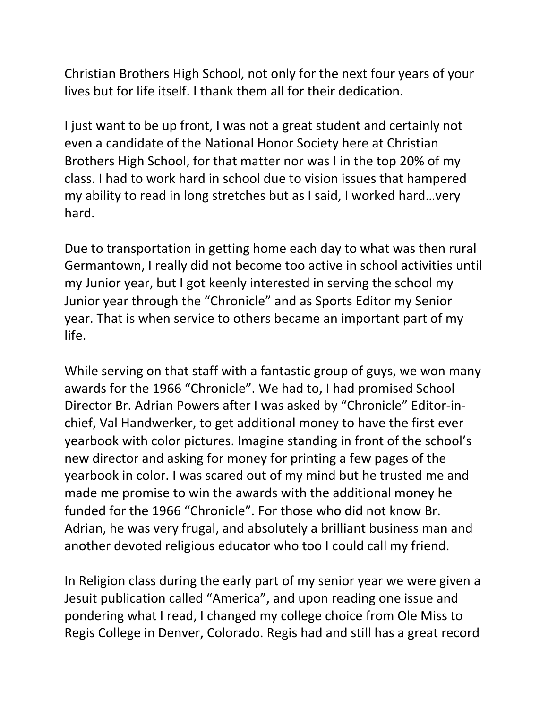Christian Brothers High School, not only for the next four years of your lives but for life itself. I thank them all for their dedication.

I just want to be up front, I was not a great student and certainly not even a candidate of the National Honor Society here at Christian Brothers High School, for that matter nor was I in the top 20% of my class. I had to work hard in school due to vision issues that hampered my ability to read in long stretches but as I said, I worked hard…very hard.

Due to transportation in getting home each day to what was then rural Germantown, I really did not become too active in school activities until my Junior year, but I got keenly interested in serving the school my Junior year through the "Chronicle" and as Sports Editor my Senior year. That is when service to others became an important part of my life.

While serving on that staff with a fantastic group of guys, we won many awards for the 1966 "Chronicle". We had to, I had promised School Director Br. Adrian Powers after I was asked by "Chronicle" Editor-inchief, Val Handwerker, to get additional money to have the first ever yearbook with color pictures. Imagine standing in front of the school's new director and asking for money for printing a few pages of the yearbook in color. I was scared out of my mind but he trusted me and made me promise to win the awards with the additional money he funded for the 1966 "Chronicle". For those who did not know Br. Adrian, he was very frugal, and absolutely a brilliant business man and another devoted religious educator who too I could call my friend.

In Religion class during the early part of my senior year we were given a Jesuit publication called "America", and upon reading one issue and pondering what I read, I changed my college choice from Ole Miss to Regis College in Denver, Colorado. Regis had and still has a great record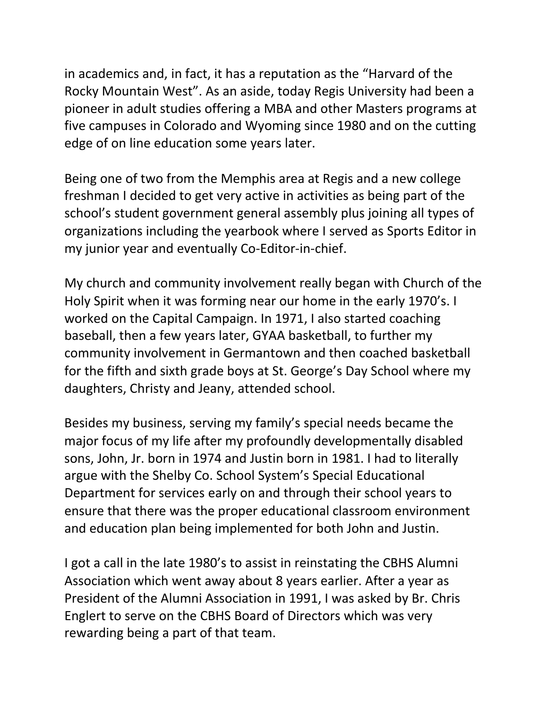in academics and, in fact, it has a reputation as the "Harvard of the Rocky Mountain West". As an aside, today Regis University had been a pioneer in adult studies offering a MBA and other Masters programs at five campuses in Colorado and Wyoming since 1980 and on the cutting edge of on line education some years later.

Being one of two from the Memphis area at Regis and a new college freshman I decided to get very active in activities as being part of the school's student government general assembly plus joining all types of organizations including the yearbook where I served as Sports Editor in my junior year and eventually Co-Editor-in-chief.

My church and community involvement really began with Church of the Holy Spirit when it was forming near our home in the early 1970's. I worked on the Capital Campaign. In 1971, I also started coaching baseball, then a few years later, GYAA basketball, to further my community involvement in Germantown and then coached basketball for the fifth and sixth grade boys at St. George's Day School where my daughters, Christy and Jeany, attended school.

Besides my business, serving my family's special needs became the major focus of my life after my profoundly developmentally disabled sons, John, Jr. born in 1974 and Justin born in 1981. I had to literally argue with the Shelby Co. School System's Special Educational Department for services early on and through their school years to ensure that there was the proper educational classroom environment and education plan being implemented for both John and Justin.

I got a call in the late 1980's to assist in reinstating the CBHS Alumni Association which went away about 8 years earlier. After a year as President of the Alumni Association in 1991, I was asked by Br. Chris Englert to serve on the CBHS Board of Directors which was very rewarding being a part of that team.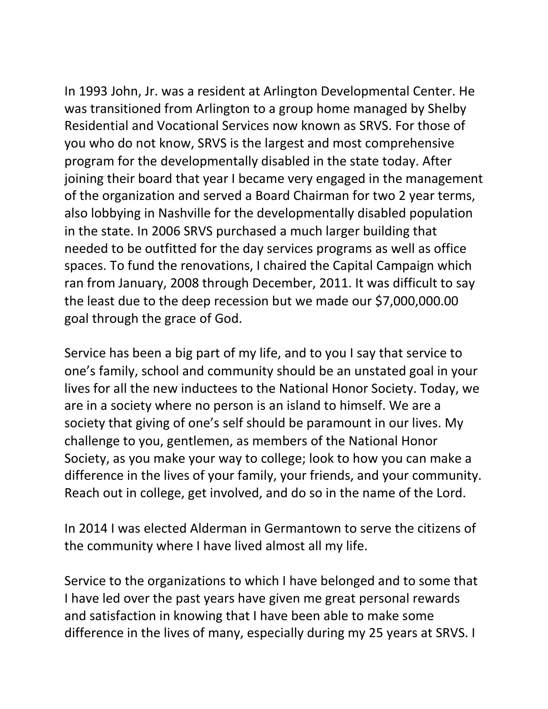In 1993 John, Jr. was a resident at Arlington Developmental Center. He was transitioned from Arlington to a group home managed by Shelby Residential and Vocational Services now known as SRVS. For those of you who do not know, SRVS is the largest and most comprehensive program for the developmentally disabled in the state today. After joining their board that year I became very engaged in the management of the organization and served a Board Chairman for two 2 year terms, also lobbying in Nashville for the developmentally disabled population in the state. In 2006 SRVS purchased a much larger building that needed to be outfitted for the day services programs as well as office spaces. To fund the renovations, I chaired the Capital Campaign which ran from January, 2008 through December, 2011. It was difficult to say the least due to the deep recession but we made our \$7,000,000.00 goal through the grace of God.

Service has been a big part of my life, and to you I say that service to one's family, school and community should be an unstated goal in your lives for all the new inductees to the National Honor Society. Today, we are in a society where no person is an island to himself. We are a society that giving of one's self should be paramount in our lives. My challenge to you, gentlemen, as members of the National Honor Society, as you make your way to college; look to how you can make a difference in the lives of your family, your friends, and your community. Reach out in college, get involved, and do so in the name of the Lord.

In 2014 I was elected Alderman in Germantown to serve the citizens of the community where I have lived almost all my life.

Service to the organizations to which I have belonged and to some that I have led over the past years have given me great personal rewards and satisfaction in knowing that I have been able to make some difference in the lives of many, especially during my 25 years at SRVS. I